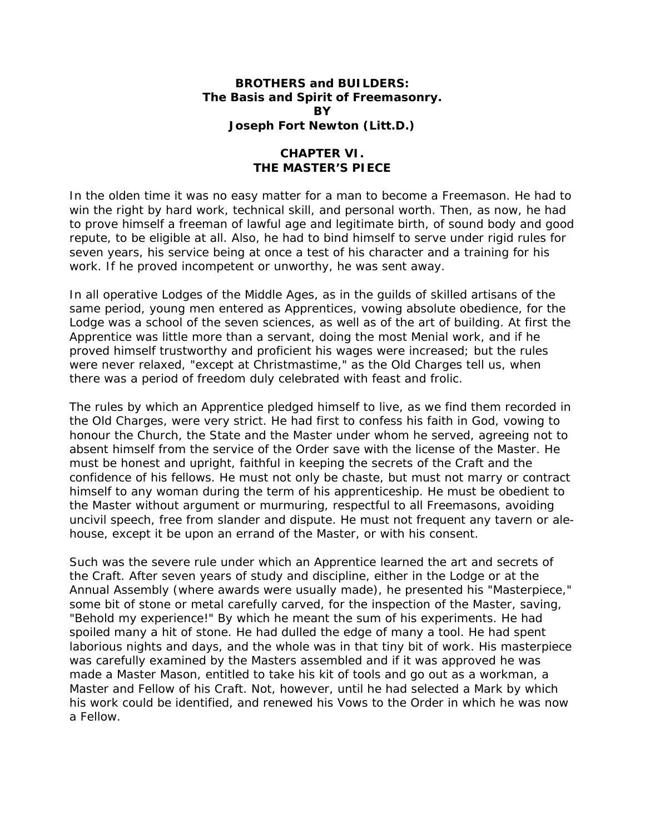## **BROTHERS and BUILDERS: The Basis and Spirit of Freemasonry. BY Joseph Fort Newton (Litt.D.)**

## **CHAPTER VI. THE MASTER'S PIECE**

In the olden time it was no easy matter for a man to become a Freemason. He had to win the right by hard work, technical skill, and personal worth. Then, as now, he had to prove himself a freeman of lawful age and legitimate birth, of sound body and good repute, to be eligible at all. Also, he had to bind himself to serve under rigid rules for seven years, his service being at once a test of his character and a training for his work. If he proved incompetent or unworthy, he was sent away.

In all operative Lodges of the Middle Ages, as in the guilds of skilled artisans of the same period, young men entered as Apprentices, vowing absolute obedience, for the Lodge was a school of the seven sciences, as well as of the art of building. At first the Apprentice was little more than a servant, doing the most Menial work, and if he proved himself trustworthy and proficient his wages were increased; but the rules were never relaxed, "except at Christmastime," as the Old Charges tell us, when there was a period of freedom duly celebrated with feast and frolic.

The rules by which an Apprentice pledged himself to live, as we find them recorded in the Old Charges, were very strict. He had first to confess his faith in God, vowing to honour the Church, the State and the Master under whom he served, agreeing not to absent himself from the service of the Order save with the license of the Master. He must be honest and upright, faithful in keeping the secrets of the Craft and the confidence of his fellows. He must not only be chaste, but must not marry or contract himself to any woman during the term of his apprenticeship. He must be obedient to the Master without argument or murmuring, respectful to all Freemasons, avoiding uncivil speech, free from slander and dispute. He must not frequent any tavern or alehouse, except it be upon an errand of the Master, or with his consent.

Such was the severe rule under which an Apprentice learned the art and secrets of the Craft. After seven years of study and discipline, either in the Lodge or at the Annual Assembly (where awards were usually made), he presented his "Masterpiece," some bit of stone or metal carefully carved, for the inspection of the Master, saving, "Behold my experience!" By which he meant the sum of his experiments. He had spoiled many a hit of stone. He had dulled the edge of many a tool. He had spent laborious nights and days, and the whole was in that tiny bit of work. His masterpiece was carefully examined by the Masters assembled and if it was approved he was made a Master Mason, entitled to take his kit of tools and go out as a workman, a Master and Fellow of his Craft. Not, however, until he had selected a Mark by which his work could be identified, and renewed his Vows to the Order in which he was now a Fellow.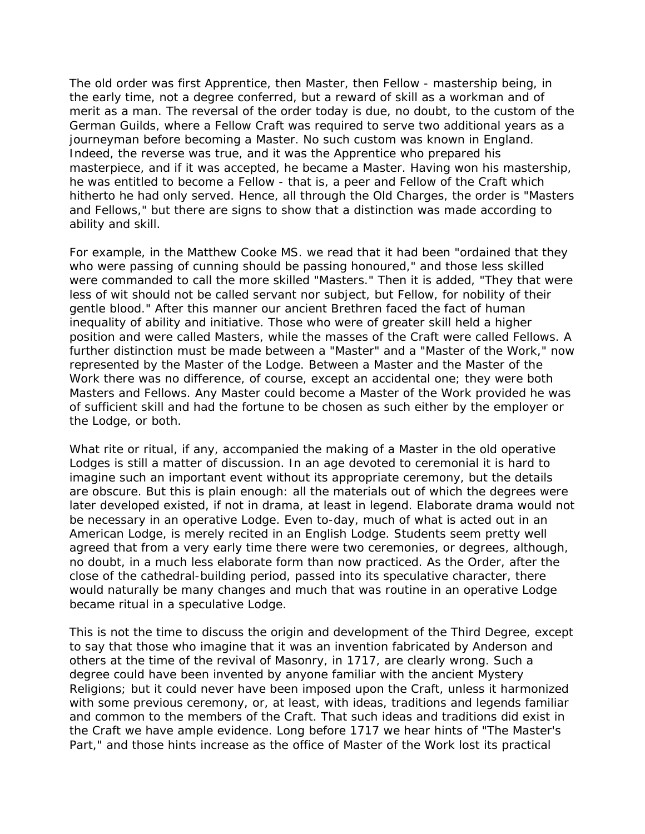The old order was first Apprentice, then Master, then Fellow - mastership being, in the early time, not a degree conferred, but a reward of skill as a workman and of merit as a man. The reversal of the order today is due, no doubt, to the custom of the German Guilds, where a Fellow Craft was required to serve two additional years as a journeyman before becoming a Master. No such custom was known in England. Indeed, the reverse was true, and it was the Apprentice who prepared his masterpiece, and if it was accepted, he became a Master. Having won his mastership, he was entitled to become a Fellow - that is, a peer and Fellow of the Craft which hitherto he had only served. Hence, all through the Old Charges, the order is "Masters and Fellows," but there are signs to show that a distinction was made according to ability and skill.

For example, in the Matthew Cooke MS. we read that it had been "ordained that they who were passing of cunning should be passing honoured," and those less skilled were commanded to call the more skilled "Masters." Then it is added, "They that were less of wit should not be called servant nor subject, but Fellow, for nobility of their gentle blood." After this manner our ancient Brethren faced the fact of human inequality of ability and initiative. Those who were of greater skill held a higher position and were called Masters, while the masses of the Craft were called Fellows. A further distinction must be made between a "Master" and a "Master of the Work," now represented by the Master of the Lodge. Between a Master and the Master of the Work there was no difference, of course, except an accidental one; they were both Masters and Fellows. Any Master could become a Master of the Work provided he was of sufficient skill and had the fortune to be chosen as such either by the employer or the Lodge, or both.

What rite or ritual, if any, accompanied the making of a Master in the old operative Lodges is still a matter of discussion. In an age devoted to ceremonial it is hard to imagine such an important event without its appropriate ceremony, but the details are obscure. But this is plain enough: all the materials out of which the degrees were later developed existed, if not in drama, at least in legend. Elaborate drama would not be necessary in an operative Lodge. Even to-day, much of what is acted out in an American Lodge, is merely recited in an English Lodge. Students seem pretty well agreed that from a very early time there were two ceremonies, or degrees, although, no doubt, in a much less elaborate form than now practiced. As the Order, after the close of the cathedral-building period, passed into its speculative character, there would naturally be many changes and much that was routine in an operative Lodge became ritual in a speculative Lodge.

This is not the time to discuss the origin and development of the Third Degree, except to say that those who imagine that it was an invention fabricated by Anderson and others at the time of the revival of Masonry, in 1717, are clearly wrong. Such a degree could have been invented by anyone familiar with the ancient Mystery Religions; but it could never have been imposed upon the Craft, unless it harmonized with some previous ceremony, or, at least, with ideas, traditions and legends familiar and common to the members of the Craft. That such ideas and traditions did exist in the Craft we have ample evidence. Long before 1717 we hear hints of "The Master's Part," and those hints increase as the office of Master of the Work lost its practical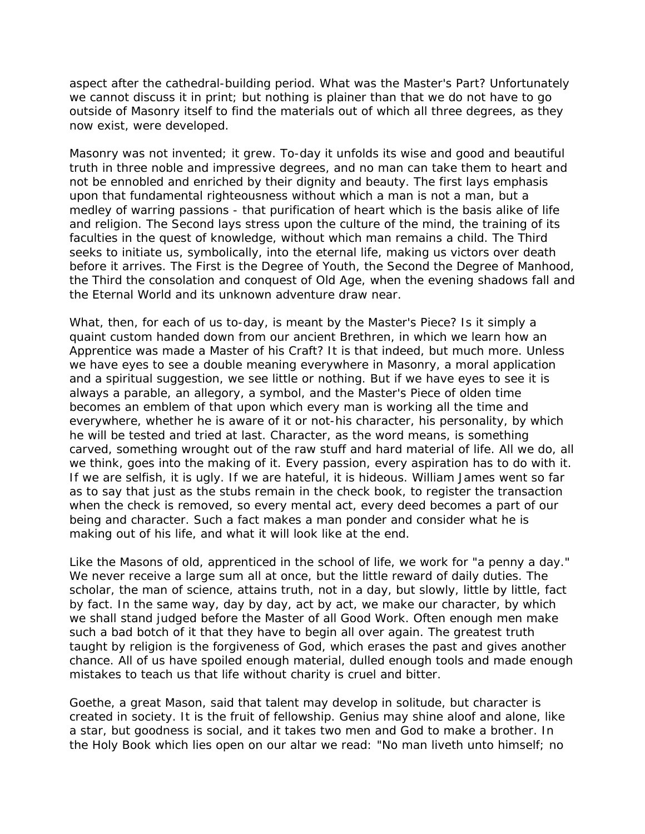aspect after the cathedral-building period. What was the Master's Part? Unfortunately we cannot discuss it in print; but nothing is plainer than that we do not have to go outside of Masonry itself to find the materials out of which all three degrees, as they now exist, were developed.

Masonry was not invented; it grew. To-day it unfolds its wise and good and beautiful truth in three noble and impressive degrees, and no man can take them to heart and not be ennobled and enriched by their dignity and beauty. The first lays emphasis upon that fundamental righteousness without which a man is not a man, but a medley of warring passions - that purification of heart which is the basis alike of life and religion. The Second lays stress upon the culture of the mind, the training of its faculties in the quest of knowledge, without which man remains a child. The Third seeks to initiate us, symbolically, into the eternal life, making us victors over death before it arrives. The First is the Degree of Youth, the Second the Degree of Manhood, the Third the consolation and conquest of Old Age, when the evening shadows fall and the Eternal World and its unknown adventure draw near.

What, then, for each of us to-day, is meant by the Master's Piece? Is it simply a quaint custom handed down from our ancient Brethren, in which we learn how an Apprentice was made a Master of his Craft? It is that indeed, but much more. Unless we have eyes to see a double meaning everywhere in Masonry, a moral application and a spiritual suggestion, we see little or nothing. But if we have eyes to see it is always a parable, an allegory, a symbol, and the Master's Piece of olden time becomes an emblem of that upon which every man is working all the time and everywhere, whether he is aware of it or not-his character, his personality, by which he will be tested and tried at last. Character, as the word means, is something carved, something wrought out of the raw stuff and hard material of life. All we do, all we think, goes into the making of it. Every passion, every aspiration has to do with it. If we are selfish, it is ugly. If we are hateful, it is hideous. William James went so far as to say that just as the stubs remain in the check book, to register the transaction when the check is removed, so every mental act, every deed becomes a part of our being and character. Such a fact makes a man ponder and consider what he is making out of his life, and what it will look like at the end.

Like the Masons of old, apprenticed in the school of life, we work for "a penny a day." We never receive a large sum all at once, but the little reward of daily duties. The scholar, the man of science, attains truth, not in a day, but slowly, little by little, fact by fact. In the same way, day by day, act by act, we make our character, by which we shall stand judged before the Master of all Good Work. Often enough men make such a bad botch of it that they have to begin all over again. The greatest truth taught by religion is the forgiveness of God, which erases the past and gives another chance. All of us have spoiled enough material, dulled enough tools and made enough mistakes to teach us that life without charity is cruel and bitter.

Goethe, a great Mason, said that talent may develop in solitude, but character is created in society. It is the fruit of fellowship. Genius may shine aloof and alone, like a star, but goodness is social, and it takes two men and God to make a brother. In the Holy Book which lies open on our altar we read: "No man liveth unto himself; no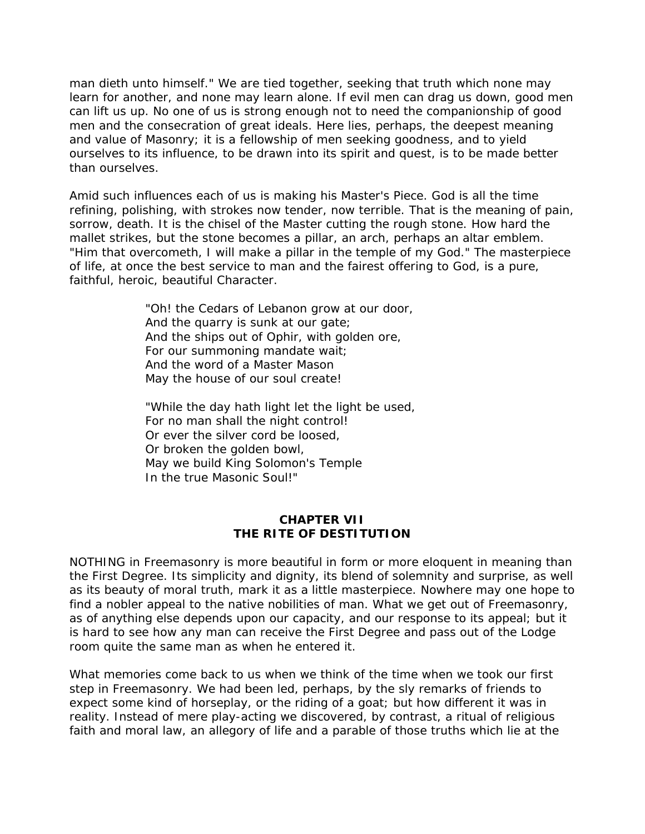man dieth unto himself." We are tied together, seeking that truth which none may learn for another, and none may learn alone. If evil men can drag us down, good men can lift us up. No one of us is strong enough not to need the companionship of good men and the consecration of great ideals. Here lies, perhaps, the deepest meaning and value of Masonry; it is a fellowship of men seeking goodness, and to yield ourselves to its influence, to be drawn into its spirit and quest, is to be made better than ourselves.

Amid such influences each of us is making his Master's Piece. God is all the time refining, polishing, with strokes now tender, now terrible. That is the meaning of pain, sorrow, death. It is the chisel of the Master cutting the rough stone. How hard the mallet strikes, but the stone becomes a pillar, an arch, perhaps an altar emblem. "Him that overcometh, I will make a pillar in the temple of my God." The masterpiece of life, at once the best service to man and the fairest offering to God, is a pure, faithful, heroic, beautiful Character.

> "Oh! the Cedars of Lebanon grow at our door, And the quarry is sunk at our gate; And the ships out of Ophir, with golden ore, For our summoning mandate wait; And the word of a Master Mason May the house of our soul create!

> "While the day hath light let the light be used, For no man shall the night control! Or ever the silver cord be loosed, Or broken the golden bowl, May we build King Solomon's Temple In the true Masonic Soul!"

## **CHAPTER VII THE RITE OF DESTITUTION**

NOTHING in Freemasonry is more beautiful in form or more eloquent in meaning than the First Degree. Its simplicity and dignity, its blend of solemnity and surprise, as well as its beauty of moral truth, mark it as a little masterpiece. Nowhere may one hope to find a nobler appeal to the native nobilities of man. What we get out of Freemasonry, as of anything else depends upon our capacity, and our response to its appeal; but it is hard to see how any man can receive the First Degree and pass out of the Lodge room quite the same man as when he entered it.

What memories come back to us when we think of the time when we took our first step in Freemasonry. We had been led, perhaps, by the sly remarks of friends to expect some kind of horseplay, or the riding of a goat; but how different it was in reality. Instead of mere play-acting we discovered, by contrast, a ritual of religious faith and moral law, an allegory of life and a parable of those truths which lie at the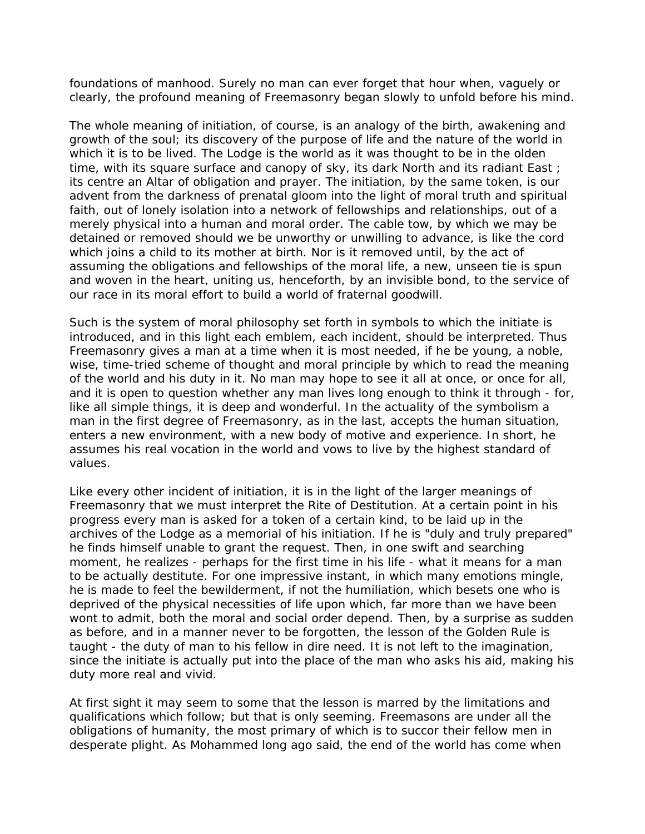foundations of manhood. Surely no man can ever forget that hour when, vaguely or clearly, the profound meaning of Freemasonry began slowly to unfold before his mind.

The whole meaning of initiation, of course, is an analogy of the birth, awakening and growth of the soul; its discovery of the purpose of life and the nature of the world in which it is to be lived. The Lodge is the world as it was thought to be in the olden time, with its square surface and canopy of sky, its dark North and its radiant East; its centre an Altar of obligation and prayer. The initiation, by the same token, is our advent from the darkness of prenatal gloom into the light of moral truth and spiritual faith, out of lonely isolation into a network of fellowships and relationships, out of a merely physical into a human and moral order. The cable tow, by which we may be detained or removed should we be unworthy or unwilling to advance, is like the cord which joins a child to its mother at birth. Nor is it removed until, by the act of assuming the obligations and fellowships of the moral life, a new, unseen tie is spun and woven in the heart, uniting us, henceforth, by an invisible bond, to the service of our race in its moral effort to build a world of fraternal goodwill.

Such is the system of moral philosophy set forth in symbols to which the initiate is introduced, and in this light each emblem, each incident, should be interpreted. Thus Freemasonry gives a man at a time when it is most needed, if he be young, a noble, wise, time-tried scheme of thought and moral principle by which to read the meaning of the world and his duty in it. No man may hope to see it all at once, or once for all, and it is open to question whether any man lives long enough to think it through - for, like all simple things, it is deep and wonderful. In the actuality of the symbolism a man in the first degree of Freemasonry, as in the last, accepts the human situation, enters a new environment, with a new body of motive and experience. In short, he assumes his real vocation in the world and vows to live by the highest standard of values.

Like every other incident of initiation, it is in the light of the larger meanings of Freemasonry that we must interpret the Rite of Destitution. At a certain point in his progress every man is asked for a token of a certain kind, to be laid up in the archives of the Lodge as a memorial of his initiation. If he is "duly and truly prepared" he finds himself unable to grant the request. Then, in one swift and searching moment, he realizes - perhaps for the first time in his life - what it means for a man to be actually destitute. For one impressive instant, in which many emotions mingle, he is made to feel the bewilderment, if not the humiliation, which besets one who is deprived of the physical necessities of life upon which, far more than we have been wont to admit, both the moral and social order depend. Then, by a surprise as sudden as before, and in a manner never to be forgotten, the lesson of the Golden Rule is taught - the duty of man to his fellow in dire need. It is not left to the imagination, since the initiate is actually put into the place of the man who asks his aid, making his duty more real and vivid.

At first sight it may seem to some that the lesson is marred by the limitations and qualifications which follow; but that is only seeming. Freemasons are under all the obligations of humanity, the most primary of which is to succor their fellow men in desperate plight. As Mohammed long ago said, the end of the world has come when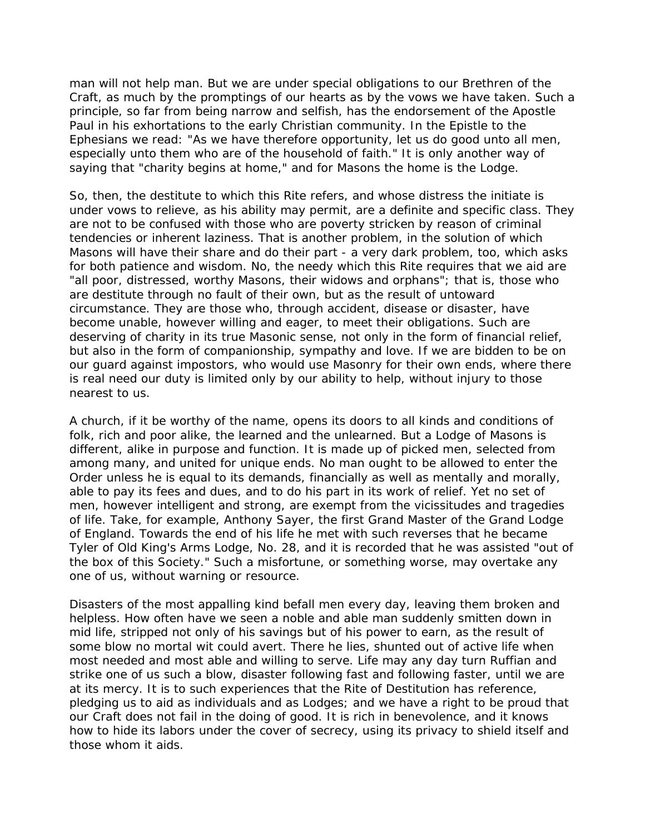man will not help man. But we are under special obligations to our Brethren of the Craft, as much by the promptings of our hearts as by the vows we have taken. Such a principle, so far from being narrow and selfish, has the endorsement of the Apostle Paul in his exhortations to the early Christian community. In the Epistle to the Ephesians we read: "As we have therefore opportunity, let us do good unto all men, especially unto them who are of the household of faith." It is only another way of saying that "charity begins at home," and for Masons the home is the Lodge.

So, then, the destitute to which this Rite refers, and whose distress the initiate is under vows to relieve, as his ability may permit, are a definite and specific class. They are not to be confused with those who are poverty stricken by reason of criminal tendencies or inherent laziness. That is another problem, in the solution of which Masons will have their share and do their part - a very dark problem, too, which asks for both patience and wisdom. No, the needy which this Rite requires that we aid are "all poor, distressed, worthy Masons, their widows and orphans"; that is, those who are destitute through no fault of their own, but as the result of untoward circumstance. They are those who, through accident, disease or disaster, have become unable, however willing and eager, to meet their obligations. Such are deserving of charity in its true Masonic sense, not only in the form of financial relief, but also in the form of companionship, sympathy and love. If we are bidden to be on our guard against impostors, who would use Masonry for their own ends, where there is real need our duty is limited only by our ability to help, without injury to those nearest to us.

A church, if it be worthy of the name, opens its doors to all kinds and conditions of folk, rich and poor alike, the learned and the unlearned. But a Lodge of Masons is different, alike in purpose and function. It is made up of picked men, selected from among many, and united for unique ends. No man ought to be allowed to enter the Order unless he is equal to its demands, financially as well as mentally and morally, able to pay its fees and dues, and to do his part in its work of relief. Yet no set of men, however intelligent and strong, are exempt from the vicissitudes and tragedies of life. Take, for example, Anthony Sayer, the first Grand Master of the Grand Lodge of England. Towards the end of his life he met with such reverses that he became Tyler of Old King's Arms Lodge, No. 28, and it is recorded that he was assisted "out of the box of this Society." Such a misfortune, or something worse, may overtake any one of us, without warning or resource.

Disasters of the most appalling kind befall men every day, leaving them broken and helpless. How often have we seen a noble and able man suddenly smitten down in mid life, stripped not only of his savings but of his power to earn, as the result of some blow no mortal wit could avert. There he lies, shunted out of active life when most needed and most able and willing to serve. Life may any day turn Ruffian and strike one of us such a blow, disaster following fast and following faster, until we are at its mercy. It is to such experiences that the Rite of Destitution has reference, pledging us to aid as individuals and as Lodges; and we have a right to be proud that our Craft does not fail in the doing of good. It is rich in benevolence, and it knows how to hide its labors under the cover of secrecy, using its privacy to shield itself and those whom it aids.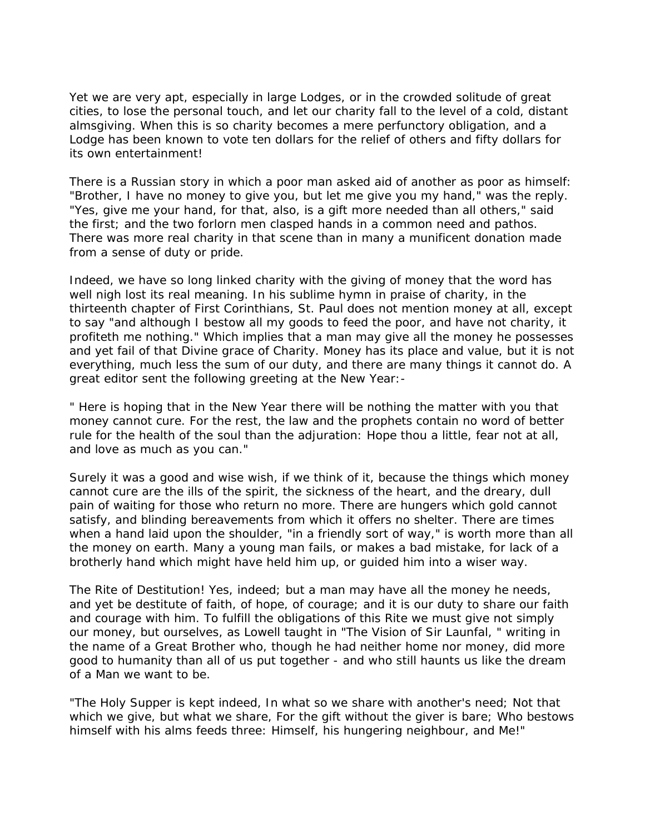Yet we are very apt, especially in large Lodges, or in the crowded solitude of great cities, to lose the personal touch, and let our charity fall to the level of a cold, distant almsgiving. When this is so charity becomes a mere perfunctory obligation, and a Lodge has been known to vote ten dollars for the relief of others and fifty dollars for its own entertainment!

There is a Russian story in which a poor man asked aid of another as poor as himself: "Brother, I have no money to give you, but let me give you my hand," was the reply. "Yes, give me your hand, for that, also, is a gift more needed than all others," said the first; and the two forlorn men clasped hands in a common need and pathos. There was more real charity in that scene than in many a munificent donation made from a sense of duty or pride.

Indeed, we have so long linked charity with the giving of money that the word has well nigh lost its real meaning. In his sublime hymn in praise of charity, in the thirteenth chapter of First Corinthians, St. Paul does not mention money at all, except to say "and although I bestow all my goods to feed the poor, and have not charity, it profiteth me nothing." Which implies that a man may give all the money he possesses and yet fail of that Divine grace of Charity. Money has its place and value, but it is not everything, much less the sum of our duty, and there are many things it cannot do. A great editor sent the following greeting at the New Year:-

" Here is hoping that in the New Year there will be nothing the matter with you that money cannot cure. For the rest, the law and the prophets contain no word of better rule for the health of the soul than the adjuration: Hope thou a little, fear not at all, and love as much as you can."

Surely it was a good and wise wish, if we think of it, because the things which money cannot cure are the ills of the spirit, the sickness of the heart, and the dreary, dull pain of waiting for those who return no more. There are hungers which gold cannot satisfy, and blinding bereavements from which it offers no shelter. There are times when a hand laid upon the shoulder, "in a friendly sort of way," is worth more than all the money on earth. Many a young man fails, or makes a bad mistake, for lack of a brotherly hand which might have held him up, or guided him into a wiser way.

The Rite of Destitution! Yes, indeed; but a man may have all the money he needs, and yet be destitute of faith, of hope, of courage; and it is our duty to share our faith and courage with him. To fulfill the obligations of this Rite we must give not simply our money, but ourselves, as Lowell taught in "The Vision of Sir Launfal, " writing in the name of a Great Brother who, though he had neither home nor money, did more good to humanity than all of us put together - and who still haunts us like the dream of a Man we want to be.

"The Holy Supper is kept indeed, In what so we share with another's need; Not that which we give, but what we share, For the gift without the giver is bare; Who bestows himself with his alms feeds three: Himself, his hungering neighbour, and Me!"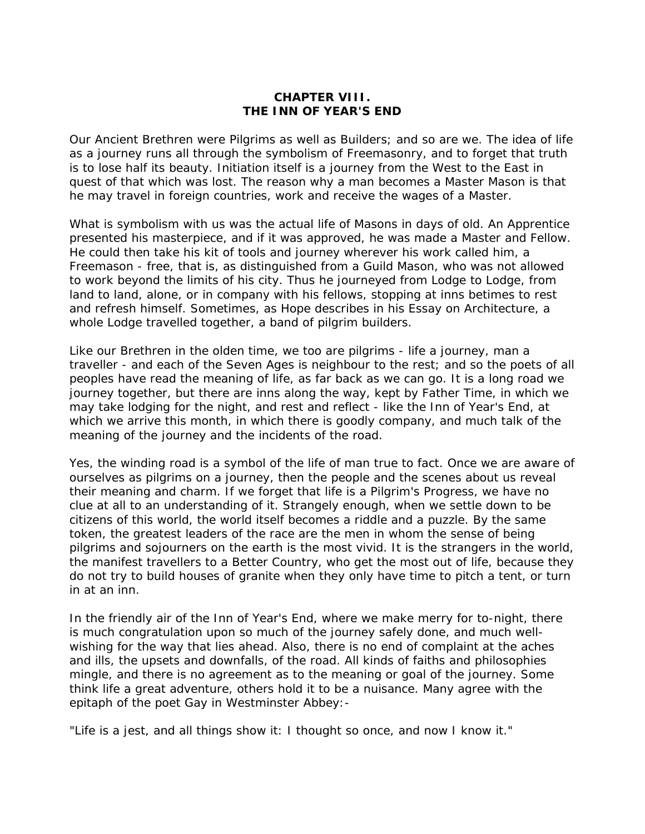## **CHAPTER VIII. THE INN OF YEAR'S END**

Our Ancient Brethren were Pilgrims as well as Builders; and so are we. The idea of life as a journey runs all through the symbolism of Freemasonry, and to forget that truth is to lose half its beauty. Initiation itself is a journey from the West to the East in quest of that which was lost. The reason why a man becomes a Master Mason is that he may travel in foreign countries, work and receive the wages of a Master.

What is symbolism with us was the actual life of Masons in days of old. An Apprentice presented his masterpiece, and if it was approved, he was made a Master and Fellow. He could then take his kit of tools and journey wherever his work called him, a Freemason - free, that is, as distinguished from a Guild Mason, who was not allowed to work beyond the limits of his city. Thus he journeyed from Lodge to Lodge, from land to land, alone, or in company with his fellows, stopping at inns betimes to rest and refresh himself. Sometimes, as Hope describes in his Essay on Architecture, a whole Lodge travelled together, a band of pilgrim builders.

Like our Brethren in the olden time, we too are pilgrims - life a journey, man a traveller - and each of the Seven Ages is neighbour to the rest; and so the poets of all peoples have read the meaning of life, as far back as we can go. It is a long road we journey together, but there are inns along the way, kept by Father Time, in which we may take lodging for the night, and rest and reflect - like the Inn of Year's End, at which we arrive this month, in which there is goodly company, and much talk of the meaning of the journey and the incidents of the road.

Yes, the winding road is a symbol of the life of man true to fact. Once we are aware of ourselves as pilgrims on a journey, then the people and the scenes about us reveal their meaning and charm. If we forget that life is a Pilgrim's Progress, we have no clue at all to an understanding of it. Strangely enough, when we settle down to be citizens of this world, the world itself becomes a riddle and a puzzle. By the same token, the greatest leaders of the race are the men in whom the sense of being pilgrims and sojourners on the earth is the most vivid. It is the strangers in the world, the manifest travellers to a Better Country, who get the most out of life, because they do not try to build houses of granite when they only have time to pitch a tent, or turn in at an inn.

In the friendly air of the Inn of Year's End, where we make merry for to-night, there is much congratulation upon so much of the journey safely done, and much wellwishing for the way that lies ahead. Also, there is no end of complaint at the aches and ills, the upsets and downfalls, of the road. All kinds of faiths and philosophies mingle, and there is no agreement as to the meaning or goal of the journey. Some think life a great adventure, others hold it to be a nuisance. Many agree with the epitaph of the poet Gay in Westminster Abbey:-

"Life is a jest, and all things show it: I thought so once, and now I know it."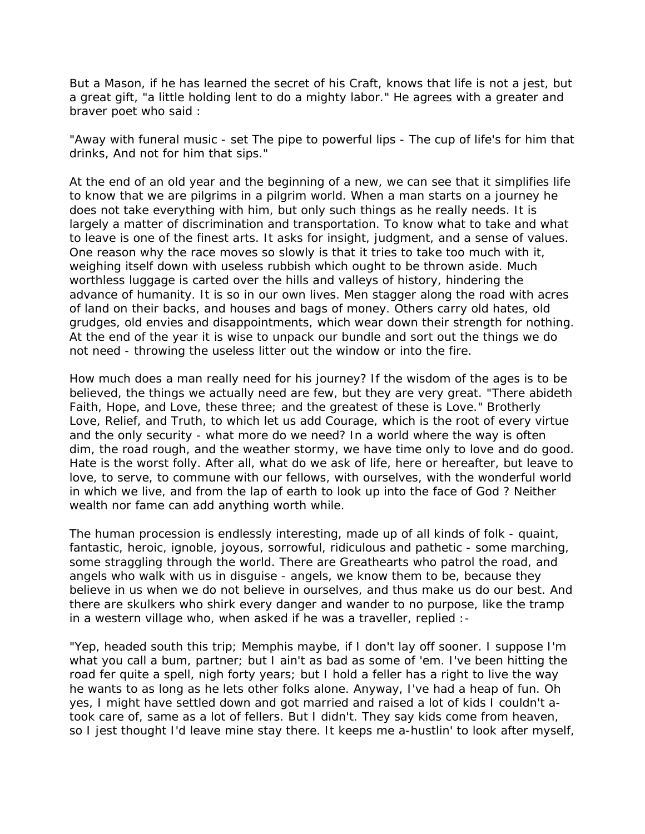But a Mason, if he has learned the secret of his Craft, knows that life is not a jest, but a great gift, "a little holding lent to do a mighty labor." He agrees with a greater and braver poet who said :

"Away with funeral music - set The pipe to powerful lips - The cup of life's for him that drinks, And not for him that sips."

At the end of an old year and the beginning of a new, we can see that it simplifies life to know that we are pilgrims in a pilgrim world. When a man starts on a journey he does not take everything with him, but only such things as he really needs. It is largely a matter of discrimination and transportation. To know what to take and what to leave is one of the finest arts. It asks for insight, judgment, and a sense of values. One reason why the race moves so slowly is that it tries to take too much with it, weighing itself down with useless rubbish which ought to be thrown aside. Much worthless luggage is carted over the hills and valleys of history, hindering the advance of humanity. It is so in our own lives. Men stagger along the road with acres of land on their backs, and houses and bags of money. Others carry old hates, old grudges, old envies and disappointments, which wear down their strength for nothing. At the end of the year it is wise to unpack our bundle and sort out the things we do not need - throwing the useless litter out the window or into the fire.

How much does a man really need for his journey? If the wisdom of the ages is to be believed, the things we actually need are few, but they are very great. "There abideth Faith, Hope, and Love, these three; and the greatest of these is Love." Brotherly Love, Relief, and Truth, to which let us add Courage, which is the root of every virtue and the only security - what more do we need? In a world where the way is often dim, the road rough, and the weather stormy, we have time only to love and do good. Hate is the worst folly. After all, what do we ask of life, here or hereafter, but leave to love, to serve, to commune with our fellows, with ourselves, with the wonderful world in which we live, and from the lap of earth to look up into the face of God ? Neither wealth nor fame can add anything worth while.

The human procession is endlessly interesting, made up of all kinds of folk - quaint, fantastic, heroic, ignoble, joyous, sorrowful, ridiculous and pathetic - some marching, some straggling through the world. There are Greathearts who patrol the road, and angels who walk with us in disguise - angels, we know them to be, because they believe in us when we do not believe in ourselves, and thus make us do our best. And there are skulkers who shirk every danger and wander to no purpose, like the tramp in a western village who, when asked if he was a traveller, replied :-

"Yep, headed south this trip; Memphis maybe, if I don't lay off sooner. I suppose I'm what you call a bum, partner; but I ain't as bad as some of 'em. I've been hitting the road fer quite a spell, nigh forty years; but I hold a feller has a right to live the way he wants to as long as he lets other folks alone. Anyway, I've had a heap of fun. Oh yes, I might have settled down and got married and raised a lot of kids I couldn't atook care of, same as a lot of fellers. But I didn't. They say kids come from heaven, so I jest thought I'd leave mine stay there. It keeps me a-hustlin' to look after myself,